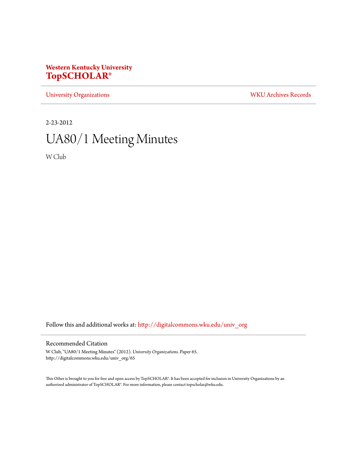## **Western Kentucky University [TopSCHOLAR®](http://digitalcommons.wku.edu?utm_source=digitalcommons.wku.edu%2Funiv_org%2F65&utm_medium=PDF&utm_campaign=PDFCoverPages)**

[University Organizations](http://digitalcommons.wku.edu/univ_org?utm_source=digitalcommons.wku.edu%2Funiv_org%2F65&utm_medium=PDF&utm_campaign=PDFCoverPages) [WKU Archives Records](http://digitalcommons.wku.edu/dlsc_ua_records?utm_source=digitalcommons.wku.edu%2Funiv_org%2F65&utm_medium=PDF&utm_campaign=PDFCoverPages)

2-23-2012

# UA80/1 Meeting Minutes

W Club

Follow this and additional works at: [http://digitalcommons.wku.edu/univ\\_org](http://digitalcommons.wku.edu/univ_org?utm_source=digitalcommons.wku.edu%2Funiv_org%2F65&utm_medium=PDF&utm_campaign=PDFCoverPages)

### Recommended Citation

W Club, "UA80/1 Meeting Minutes" (2012). *University Organizations.* Paper 65. http://digitalcommons.wku.edu/univ\_org/65

This Other is brought to you for free and open access by TopSCHOLAR®. It has been accepted for inclusion in University Organizations by an authorized administrator of TopSCHOLAR®. For more information, please contact topscholar@wku.edu.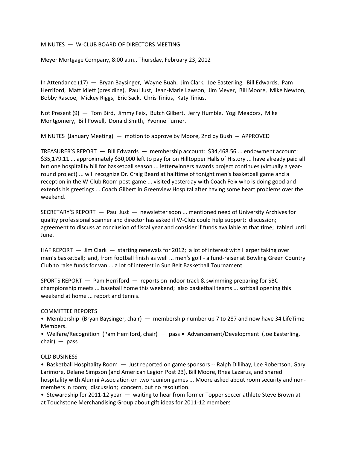#### MINUTES — W-CLUB BOARD OF DIRECTORS MEETING

Meyer Mortgage Company, 8:00 a.m., Thursday, February 23, 2012

In Attendance (17) — Bryan Baysinger, Wayne Buah, Jim Clark, Joe Easterling, Bill Edwards, Pam Herriford, Matt Idlett (presiding), Paul Just, Jean-Marie Lawson, Jim Meyer, Bill Moore, Mike Newton, Bobby Rascoe, Mickey Riggs, Eric Sack, Chris Tinius, Katy Tinius.

Not Present (9) — Tom Bird, Jimmy Feix, Butch Gilbert, Jerry Humble, Yogi Meadors, Mike Montgomery, Bill Powell, Donald Smith, Yvonne Turner.

MINUTES (January Meeting) — motion to approve by Moore, 2nd by Bush -- APPROVED

TREASURER'S REPORT — Bill Edwards — membership account: \$34,468.56 ... endowment account: \$35,179.11 ... approximately \$30,000 left to pay for on Hilltopper Halls of History ... have already paid all but one hospitality bill for basketball season ... letterwinners awards project continues (virtually a yearround project) ... will recognize Dr. Craig Beard at halftime of tonight men's basketball game and a reception in the W-Club Room post-game ... visited yesterday with Coach Feix who is doing good and extends his greetings ... Coach Gilbert in Greenview Hospital after having some heart problems over the weekend.

SECRETARY'S REPORT — Paul Just — newsletter soon ... mentioned need of University Archives for quality professional scanner and director has asked if W-Club could help support; discussion; agreement to discuss at conclusion of fiscal year and consider if funds available at that time; tabled until June.

HAF REPORT – Jim Clark – starting renewals for 2012; a lot of interest with Harper taking over men's basketball; and, from football finish as well ... men's golf - a fund-raiser at Bowling Green Country Club to raise funds for van ... a lot of interest in Sun Belt Basketball Tournament.

SPORTS REPORT — Pam Herriford — reports on indoor track & swimming preparing for SBC championship meets ... baseball home this weekend; also basketball teams ... softball opening this weekend at home ... report and tennis.

#### COMMITTEE REPORTS

• Membership (Bryan Baysinger, chair) — membership number up 7 to 287 and now have 34 LifeTime Members.

• Welfare/Recognition (Pam Herriford, chair) — pass • Advancement/Development (Joe Easterling, chair) — pass

#### OLD BUSINESS

• Basketball Hospitality Room — Just reported on game sponsors -- Ralph Dillihay, Lee Robertson, Gary Larimore, Delane Simpson (and American Legion Post 23), Bill Moore, Rhea Lazarus, and shared hospitality with Alumni Association on two reunion games ... Moore asked about room security and nonmembers in room; discussion; concern, but no resolution.

• Stewardship for 2011-12 year — waiting to hear from former Topper soccer athlete Steve Brown at at Touchstone Merchandising Group about gift ideas for 2011-12 members